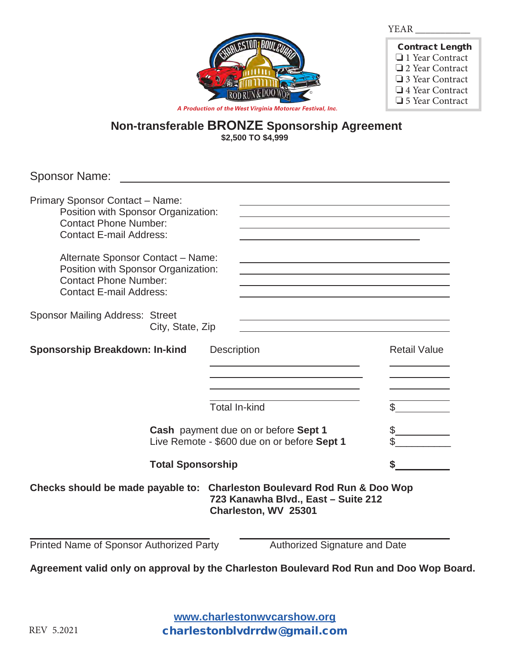

| <b>Contract Length</b> |
|------------------------|
| □ 1 Year Contract      |
| $\Box$ 2 Year Contract |
| $\Box$ 3 Year Contract |
| $\Box$ 4 Year Contract |
| □ 5 Year Contract      |

**Non-transferable BRONZE Sponsorship Agreement**

**\$2,500 TO \$4,999**

| <b>Sponsor Name:</b>                                                                                                                            |                  |                                                                                                                                                                                    |                     |
|-------------------------------------------------------------------------------------------------------------------------------------------------|------------------|------------------------------------------------------------------------------------------------------------------------------------------------------------------------------------|---------------------|
| <b>Primary Sponsor Contact - Name:</b><br>Position with Sponsor Organization:<br><b>Contact Phone Number:</b><br><b>Contact E-mail Address:</b> |                  | <u> 1989 - Johann Stoff, amerikansk politiker (* 1908)</u><br><u> 1989 - Johann Stein, marwolaethau a bhann an t-Amhair an t-Amhair an t-Amhair an t-Amhair an t-Amhair an t-A</u> |                     |
| Alternate Sponsor Contact - Name:<br>Position with Sponsor Organization:<br><b>Contact Phone Number:</b><br><b>Contact E-mail Address:</b>      |                  |                                                                                                                                                                                    |                     |
| <b>Sponsor Mailing Address: Street</b>                                                                                                          | City, State, Zip | <u> 1989 - Johann Stein, marwolaethau a bhann an t-Amhair an t-Amhair an t-Amhair an t-Amhair an t-Amhair an t-A</u>                                                               |                     |
| Sponsorship Breakdown: In-kind                                                                                                                  |                  | <b>Description</b>                                                                                                                                                                 | <b>Retail Value</b> |
|                                                                                                                                                 |                  | <b>Total In-kind</b>                                                                                                                                                               |                     |
| Cash payment due on or before Sept 1<br>Live Remote - \$600 due on or before Sept 1                                                             |                  |                                                                                                                                                                                    |                     |
| <b>Total Sponsorship</b>                                                                                                                        |                  |                                                                                                                                                                                    |                     |
|                                                                                                                                                 |                  | Checks should be made payable to: Charleston Boulevard Rod Run & Doo Wop<br>723 Kanawha Blvd., East - Suite 212<br>Charleston, WV 25301                                            |                     |
| Printed Name of Sponsor Authorized Party                                                                                                        |                  | Authorized Signature and Date                                                                                                                                                      |                     |
|                                                                                                                                                 |                  | Agreement valid only on approval by the Charleston Boulevard Rod Run and Doo Wop Board.                                                                                            |                     |

**www.charlestonwvcarshow.com www.charlestonwvcarshow.com www.charlestonwvcarshow.org** REV 5.2021 charlestonblydrrdw@gmail.com